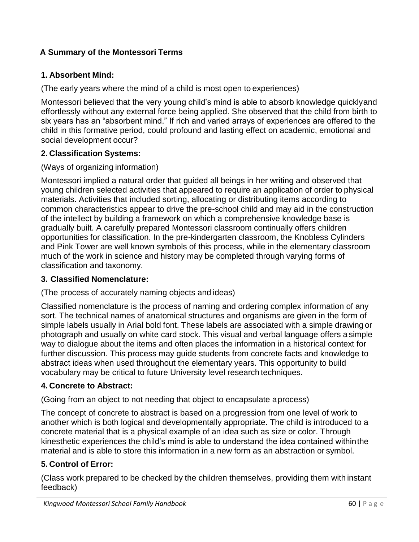# **A Summary of the Montessori Terms**

## **1. Absorbent Mind:**

(The early years where the mind of a child is most open to experiences)

Montessori believed that the very young child's mind is able to absorb knowledge quicklyand effortlessly without any external force being applied. She observed that the child from birth to six years has an "absorbent mind." If rich and varied arrays of experiences are offered to the child in this formative period, could profound and lasting effect on academic, emotional and social development occur?

## **2. Classification Systems:**

### (Ways of organizing information)

Montessori implied a natural order that guided all beings in her writing and observed that young children selected activities that appeared to require an application of order to physical materials. Activities that included sorting, allocating or distributing items according to common characteristics appear to drive the pre-school child and may aid in the construction of the intellect by building a framework on which a comprehensive knowledge base is gradually built. A carefully prepared Montessori classroom continually offers children opportunities for classification. In the pre-kindergarten classroom, the Knobless Cylinders and Pink Tower are well known symbols of this process, while in the elementary classroom much of the work in science and history may be completed through varying forms of classification and taxonomy.

#### **3. Classified Nomenclature:**

#### (The process of accurately naming objects and ideas)

Classified nomenclature is the process of naming and ordering complex information of any sort. The technical names of anatomical structures and organisms are given in the form of simple labels usually in Arial bold font. These labels are associated with a simple drawing or photograph and usually on white card stock. This visual and verbal language offers a simple way to dialogue about the items and often places the information in a historical context for further discussion. This process may guide students from concrete facts and knowledge to abstract ideas when used throughout the elementary years. This opportunity to build vocabulary may be critical to future University level research techniques.

## **4. Concrete to Abstract:**

(Going from an object to not needing that object to encapsulate aprocess)

The concept of concrete to abstract is based on a progression from one level of work to another which is both logical and developmentally appropriate. The child is introduced to a concrete material that is a physical example of an idea such as size or color. Through kinesthetic experiences the child's mind is able to understand the idea contained withinthe material and is able to store this information in a new form as an abstraction or symbol.

## **5. Control of Error:**

(Class work prepared to be checked by the children themselves, providing them with instant feedback)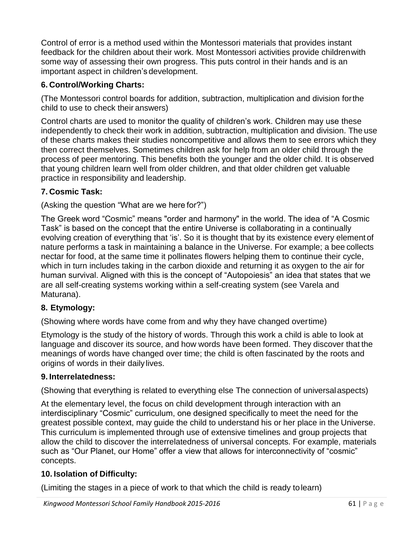Control of error is a method used within the Montessori materials that provides instant feedback for the children about their work. Most Montessori activities provide childrenwith some way of assessing their own progress. This puts control in their hands and is an important aspect in children's development.

## **6. Control/Working Charts:**

(The Montessori control boards for addition, subtraction, multiplication and division forthe child to use to check their answers)

Control charts are used to monitor the quality of children's work. Children may use these independently to check their work in addition, subtraction, multiplication and division. The use of these charts makes their studies noncompetitive and allows them to see errors which they then correct themselves. Sometimes children ask for help from an older child through the process of peer mentoring. This benefits both the younger and the older child. It is observed that young children learn well from older children, and that older children get valuable practice in responsibility and leadership.

## **7. Cosmic Task:**

(Asking the question "What are we here for?")

The Greek word "Cosmic" means "order and harmony" in the world. The idea of "A Cosmic Task" is based on the concept that the entire Universe is collaborating in a continually evolving creation of everything that 'is'. So it is thought that by its existence every element of nature performs a task in maintaining a balance in the Universe. For example; a bee collects nectar for food, at the same time it pollinates flowers helping them to continue their cycle, which in turn includes taking in the carbon dioxide and returning it as oxygen to the air for human survival. Aligned with this is the concept of "Autopoiesis" an idea that states that we are all self-creating systems working within a self-creating system (see Varela and Maturana).

## **8. Etymology:**

(Showing where words have come from and why they have changed overtime)

Etymology is the study of the history of words. Through this work a child is able to look at language and discover its source, and how words have been formed. They discover that the meanings of words have changed over time; the child is often fascinated by the roots and origins of words in their daily lives.

#### **9. Interrelatedness:**

(Showing that everything is related to everything else The connection of universalaspects)

At the elementary level, the focus on child development through interaction with an interdisciplinary "Cosmic" curriculum, one designed specifically to meet the need for the greatest possible context, may guide the child to understand his or her place in the Universe. This curriculum is implemented through use of extensive timelines and group projects that allow the child to discover the interrelatedness of universal concepts. For example, materials such as "Our Planet, our Home" offer a view that allows for interconnectivity of "cosmic" concepts.

## **10. Isolation of Difficulty:**

(Limiting the stages in a piece of work to that which the child is ready tolearn)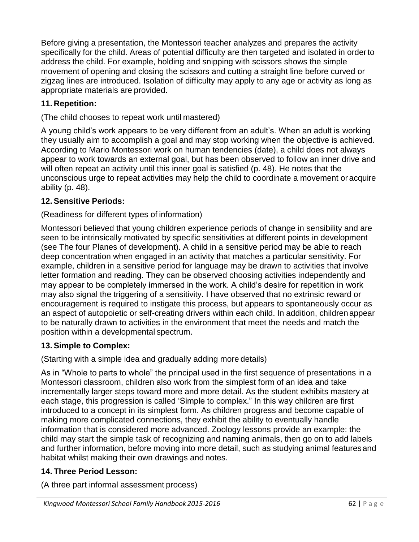Before giving a presentation, the Montessori teacher analyzes and prepares the activity specifically for the child. Areas of potential difficulty are then targeted and isolated in orderto address the child. For example, holding and snipping with scissors shows the simple movement of opening and closing the scissors and cutting a straight line before curved or zigzag lines are introduced. Isolation of difficulty may apply to any age or activity as long as appropriate materials are provided.

## **11. Repetition:**

(The child chooses to repeat work until mastered)

A young child's work appears to be very different from an adult's. When an adult is working they usually aim to accomplish a goal and may stop working when the objective is achieved. According to Mario Montessori work on human tendencies (date), a child does not always appear to work towards an external goal, but has been observed to follow an inner drive and will often repeat an activity until this inner goal is satisfied (p. 48). He notes that the unconscious urge to repeat activities may help the child to coordinate a movement or acquire ability (p. 48).

## **12. Sensitive Periods:**

## (Readiness for different types of information)

Montessori believed that young children experience periods of change in sensibility and are seen to be intrinsically motivated by specific sensitivities at different points in development (see The four Planes of development). A child in a sensitive period may be able to reach deep concentration when engaged in an activity that matches a particular sensitivity. For example, children in a sensitive period for language may be drawn to activities that involve letter formation and reading. They can be observed choosing activities independently and may appear to be completely immersed in the work. A child's desire for repetition in work may also signal the triggering of a sensitivity. I have observed that no extrinsic reward or encouragement is required to instigate this process, but appears to spontaneously occur as an aspect of autopoietic or self-creating drivers within each child. In addition, childrenappear to be naturally drawn to activities in the environment that meet the needs and match the position within a developmental spectrum.

## **13. Simple to Complex:**

(Starting with a simple idea and gradually adding more details)

As in "Whole to parts to whole" the principal used in the first sequence of presentations in a Montessori classroom, children also work from the simplest form of an idea and take incrementally larger steps toward more and more detail. As the student exhibits mastery at each stage, this progression is called 'Simple to complex." In this way children are first introduced to a concept in its simplest form. As children progress and become capable of making more complicated connections, they exhibit the ability to eventually handle information that is considered more advanced. Zoology lessons provide an example: the child may start the simple task of recognizing and naming animals, then go on to add labels and further information, before moving into more detail, such as studying animal featuresand habitat whilst making their own drawings and notes.

# **14. Three Period Lesson:**

(A three part informal assessment process)